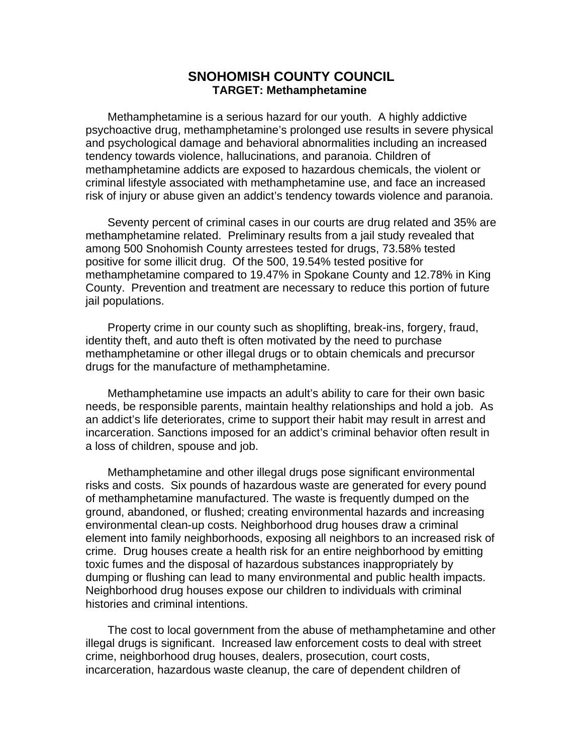# **SNOHOMISH COUNTY COUNCIL TARGET: Methamphetamine**

Methamphetamine is a serious hazard for our youth. A highly addictive psychoactive drug, methamphetamine's prolonged use results in severe physical and psychological damage and behavioral abnormalities including an increased tendency towards violence, hallucinations, and paranoia. Children of methamphetamine addicts are exposed to hazardous chemicals, the violent or criminal lifestyle associated with methamphetamine use, and face an increased risk of injury or abuse given an addict's tendency towards violence and paranoia.

Seventy percent of criminal cases in our courts are drug related and 35% are methamphetamine related. Preliminary results from a jail study revealed that among 500 Snohomish County arrestees tested for drugs, 73.58% tested positive for some illicit drug. Of the 500, 19.54% tested positive for methamphetamine compared to 19.47% in Spokane County and 12.78% in King County. Prevention and treatment are necessary to reduce this portion of future jail populations.

Property crime in our county such as shoplifting, break-ins, forgery, fraud, identity theft, and auto theft is often motivated by the need to purchase methamphetamine or other illegal drugs or to obtain chemicals and precursor drugs for the manufacture of methamphetamine.

Methamphetamine use impacts an adult's ability to care for their own basic needs, be responsible parents, maintain healthy relationships and hold a job. As an addict's life deteriorates, crime to support their habit may result in arrest and incarceration. Sanctions imposed for an addict's criminal behavior often result in a loss of children, spouse and job.

Methamphetamine and other illegal drugs pose significant environmental risks and costs. Six pounds of hazardous waste are generated for every pound of methamphetamine manufactured. The waste is frequently dumped on the ground, abandoned, or flushed; creating environmental hazards and increasing environmental clean-up costs. Neighborhood drug houses draw a criminal element into family neighborhoods, exposing all neighbors to an increased risk of crime. Drug houses create a health risk for an entire neighborhood by emitting toxic fumes and the disposal of hazardous substances inappropriately by dumping or flushing can lead to many environmental and public health impacts. Neighborhood drug houses expose our children to individuals with criminal histories and criminal intentions.

The cost to local government from the abuse of methamphetamine and other illegal drugs is significant. Increased law enforcement costs to deal with street crime, neighborhood drug houses, dealers, prosecution, court costs, incarceration, hazardous waste cleanup, the care of dependent children of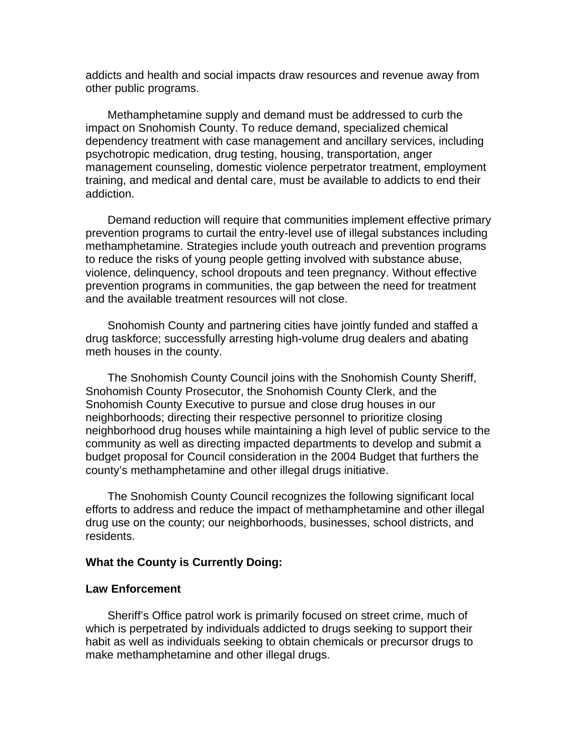addicts and health and social impacts draw resources and revenue away from other public programs.

Methamphetamine supply and demand must be addressed to curb the impact on Snohomish County. To reduce demand, specialized chemical dependency treatment with case management and ancillary services, including psychotropic medication, drug testing, housing, transportation, anger management counseling, domestic violence perpetrator treatment, employment training, and medical and dental care, must be available to addicts to end their addiction.

Demand reduction will require that communities implement effective primary prevention programs to curtail the entry-level use of illegal substances including methamphetamine. Strategies include youth outreach and prevention programs to reduce the risks of young people getting involved with substance abuse, violence, delinquency, school dropouts and teen pregnancy. Without effective prevention programs in communities, the gap between the need for treatment and the available treatment resources will not close.

Snohomish County and partnering cities have jointly funded and staffed a drug taskforce; successfully arresting high-volume drug dealers and abating meth houses in the county.

The Snohomish County Council joins with the Snohomish County Sheriff, Snohomish County Prosecutor, the Snohomish County Clerk, and the Snohomish County Executive to pursue and close drug houses in our neighborhoods; directing their respective personnel to prioritize closing neighborhood drug houses while maintaining a high level of public service to the community as well as directing impacted departments to develop and submit a budget proposal for Council consideration in the 2004 Budget that furthers the county's methamphetamine and other illegal drugs initiative.

The Snohomish County Council recognizes the following significant local efforts to address and reduce the impact of methamphetamine and other illegal drug use on the county; our neighborhoods, businesses, school districts, and residents.

# **What the County is Currently Doing:**

### **Law Enforcement**

Sheriff's Office patrol work is primarily focused on street crime, much of which is perpetrated by individuals addicted to drugs seeking to support their habit as well as individuals seeking to obtain chemicals or precursor drugs to make methamphetamine and other illegal drugs.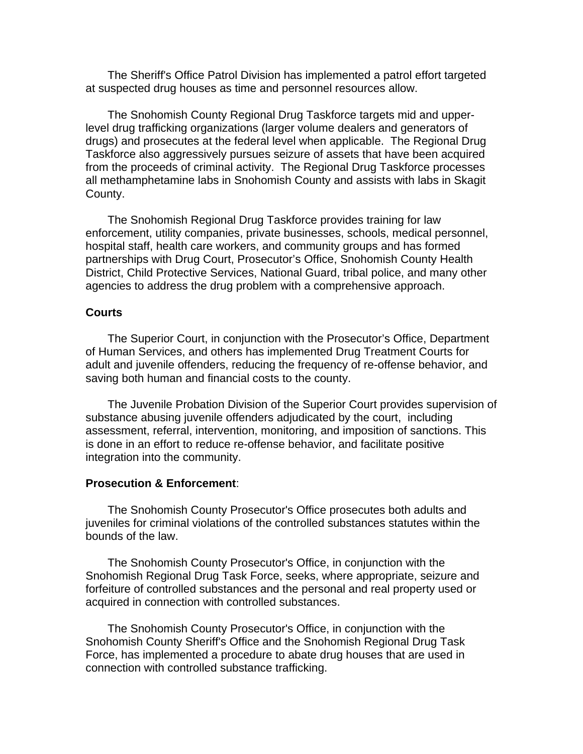The Sheriff's Office Patrol Division has implemented a patrol effort targeted at suspected drug houses as time and personnel resources allow.

The Snohomish County Regional Drug Taskforce targets mid and upperlevel drug trafficking organizations (larger volume dealers and generators of drugs) and prosecutes at the federal level when applicable. The Regional Drug Taskforce also aggressively pursues seizure of assets that have been acquired from the proceeds of criminal activity. The Regional Drug Taskforce processes all methamphetamine labs in Snohomish County and assists with labs in Skagit County.

The Snohomish Regional Drug Taskforce provides training for law enforcement, utility companies, private businesses, schools, medical personnel, hospital staff, health care workers, and community groups and has formed partnerships with Drug Court, Prosecutor's Office, Snohomish County Health District, Child Protective Services, National Guard, tribal police, and many other agencies to address the drug problem with a comprehensive approach.

## **Courts**

The Superior Court, in conjunction with the Prosecutor's Office, Department of Human Services, and others has implemented Drug Treatment Courts for adult and juvenile offenders, reducing the frequency of re-offense behavior, and saving both human and financial costs to the county.

The Juvenile Probation Division of the Superior Court provides supervision of substance abusing juvenile offenders adjudicated by the court, including assessment, referral, intervention, monitoring, and imposition of sanctions. This is done in an effort to reduce re-offense behavior, and facilitate positive integration into the community.

## **Prosecution & Enforcement**:

The Snohomish County Prosecutor's Office prosecutes both adults and juveniles for criminal violations of the controlled substances statutes within the bounds of the law.

The Snohomish County Prosecutor's Office, in conjunction with the Snohomish Regional Drug Task Force, seeks, where appropriate, seizure and forfeiture of controlled substances and the personal and real property used or acquired in connection with controlled substances.

The Snohomish County Prosecutor's Office, in conjunction with the Snohomish County Sheriff's Office and the Snohomish Regional Drug Task Force, has implemented a procedure to abate drug houses that are used in connection with controlled substance trafficking.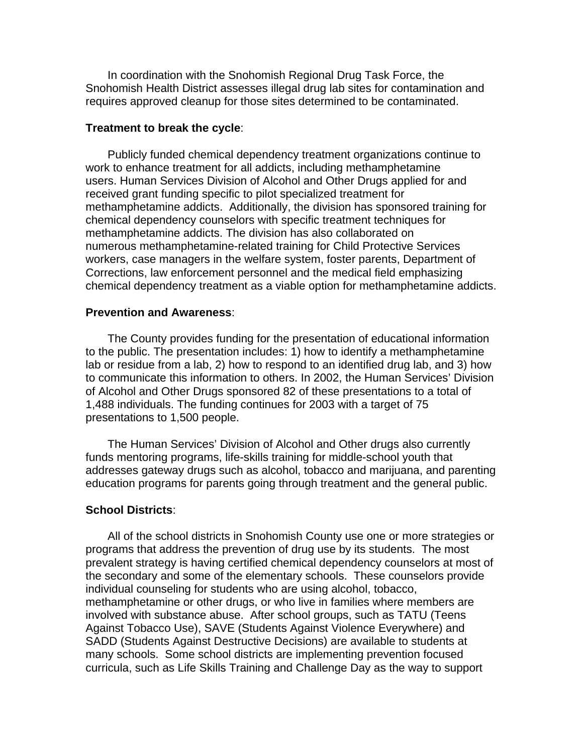In coordination with the Snohomish Regional Drug Task Force, the Snohomish Health District assesses illegal drug lab sites for contamination and requires approved cleanup for those sites determined to be contaminated.

## **Treatment to break the cycle**:

Publicly funded chemical dependency treatment organizations continue to work to enhance treatment for all addicts, including methamphetamine users. Human Services Division of Alcohol and Other Drugs applied for and received grant funding specific to pilot specialized treatment for methamphetamine addicts. Additionally, the division has sponsored training for chemical dependency counselors with specific treatment techniques for methamphetamine addicts. The division has also collaborated on numerous methamphetamine-related training for Child Protective Services workers, case managers in the welfare system, foster parents, Department of Corrections, law enforcement personnel and the medical field emphasizing chemical dependency treatment as a viable option for methamphetamine addicts.

### **Prevention and Awareness**:

The County provides funding for the presentation of educational information to the public. The presentation includes: 1) how to identify a methamphetamine lab or residue from a lab, 2) how to respond to an identified drug lab, and 3) how to communicate this information to others. In 2002, the Human Services' Division of Alcohol and Other Drugs sponsored 82 of these presentations to a total of 1,488 individuals. The funding continues for 2003 with a target of 75 presentations to 1,500 people.

The Human Services' Division of Alcohol and Other drugs also currently funds mentoring programs, life-skills training for middle-school youth that addresses gateway drugs such as alcohol, tobacco and marijuana, and parenting education programs for parents going through treatment and the general public.

### **School Districts**:

All of the school districts in Snohomish County use one or more strategies or programs that address the prevention of drug use by its students. The most prevalent strategy is having certified chemical dependency counselors at most of the secondary and some of the elementary schools. These counselors provide individual counseling for students who are using alcohol, tobacco, methamphetamine or other drugs, or who live in families where members are involved with substance abuse. After school groups, such as TATU (Teens Against Tobacco Use), SAVE (Students Against Violence Everywhere) and SADD (Students Against Destructive Decisions) are available to students at many schools. Some school districts are implementing prevention focused curricula, such as Life Skills Training and Challenge Day as the way to support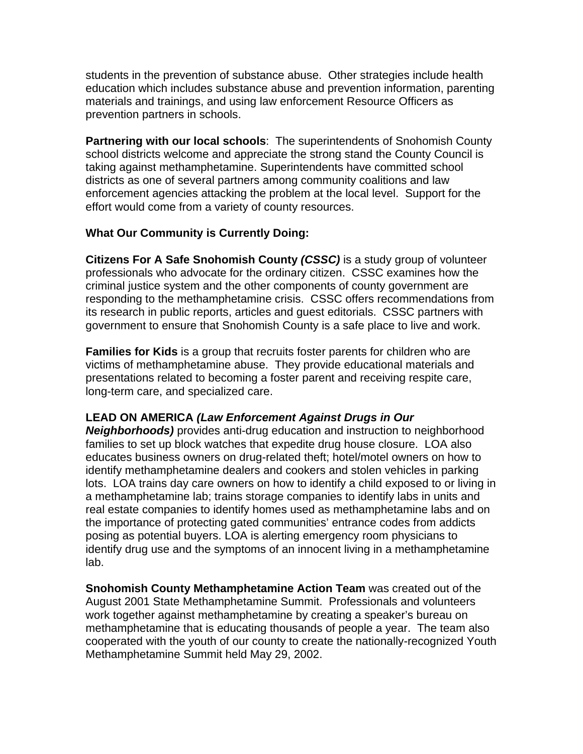students in the prevention of substance abuse. Other strategies include health education which includes substance abuse and prevention information, parenting materials and trainings, and using law enforcement Resource Officers as prevention partners in schools.

**Partnering with our local schools**: The superintendents of Snohomish County school districts welcome and appreciate the strong stand the County Council is taking against methamphetamine. Superintendents have committed school districts as one of several partners among community coalitions and law enforcement agencies attacking the problem at the local level. Support for the effort would come from a variety of county resources.

# **What Our Community is Currently Doing:**

**Citizens For A Safe Snohomish County** *(CSSC)* is a study group of volunteer professionals who advocate for the ordinary citizen. CSSC examines how the criminal justice system and the other components of county government are responding to the methamphetamine crisis. CSSC offers recommendations from its research in public reports, articles and guest editorials. CSSC partners with government to ensure that Snohomish County is a safe place to live and work.

**Families for Kids** is a group that recruits foster parents for children who are victims of methamphetamine abuse. They provide educational materials and presentations related to becoming a foster parent and receiving respite care, long-term care, and specialized care.

# **LEAD ON AMERICA** *(Law Enforcement Against Drugs in Our*

*Neighborhoods)* provides anti-drug education and instruction to neighborhood families to set up block watches that expedite drug house closure. LOA also educates business owners on drug-related theft; hotel/motel owners on how to identify methamphetamine dealers and cookers and stolen vehicles in parking lots. LOA trains day care owners on how to identify a child exposed to or living in a methamphetamine lab; trains storage companies to identify labs in units and real estate companies to identify homes used as methamphetamine labs and on the importance of protecting gated communities' entrance codes from addicts posing as potential buyers. LOA is alerting emergency room physicians to identify drug use and the symptoms of an innocent living in a methamphetamine lab.

**Snohomish County Methamphetamine Action Team** was created out of the August 2001 State Methamphetamine Summit. Professionals and volunteers work together against methamphetamine by creating a speaker's bureau on methamphetamine that is educating thousands of people a year. The team also cooperated with the youth of our county to create the nationally-recognized Youth Methamphetamine Summit held May 29, 2002.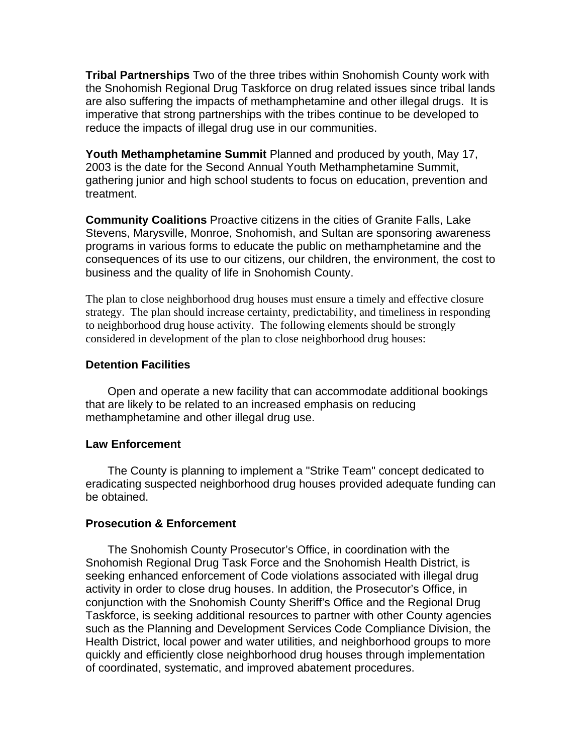**Tribal Partnerships** Two of the three tribes within Snohomish County work with the Snohomish Regional Drug Taskforce on drug related issues since tribal lands are also suffering the impacts of methamphetamine and other illegal drugs. It is imperative that strong partnerships with the tribes continue to be developed to reduce the impacts of illegal drug use in our communities.

**Youth Methamphetamine Summit** Planned and produced by youth, May 17, 2003 is the date for the Second Annual Youth Methamphetamine Summit, gathering junior and high school students to focus on education, prevention and treatment.

**Community Coalitions** Proactive citizens in the cities of Granite Falls, Lake Stevens, Marysville, Monroe, Snohomish, and Sultan are sponsoring awareness programs in various forms to educate the public on methamphetamine and the consequences of its use to our citizens, our children, the environment, the cost to business and the quality of life in Snohomish County.

The plan to close neighborhood drug houses must ensure a timely and effective closure strategy. The plan should increase certainty, predictability, and timeliness in responding to neighborhood drug house activity. The following elements should be strongly considered in development of the plan to close neighborhood drug houses:

## **Detention Facilities**

Open and operate a new facility that can accommodate additional bookings that are likely to be related to an increased emphasis on reducing methamphetamine and other illegal drug use.

## **Law Enforcement**

The County is planning to implement a "Strike Team" concept dedicated to eradicating suspected neighborhood drug houses provided adequate funding can be obtained.

# **Prosecution & Enforcement**

The Snohomish County Prosecutor's Office, in coordination with the Snohomish Regional Drug Task Force and the Snohomish Health District, is seeking enhanced enforcement of Code violations associated with illegal drug activity in order to close drug houses. In addition, the Prosecutor's Office, in conjunction with the Snohomish County Sheriff's Office and the Regional Drug Taskforce, is seeking additional resources to partner with other County agencies such as the Planning and Development Services Code Compliance Division, the Health District, local power and water utilities, and neighborhood groups to more quickly and efficiently close neighborhood drug houses through implementation of coordinated, systematic, and improved abatement procedures.